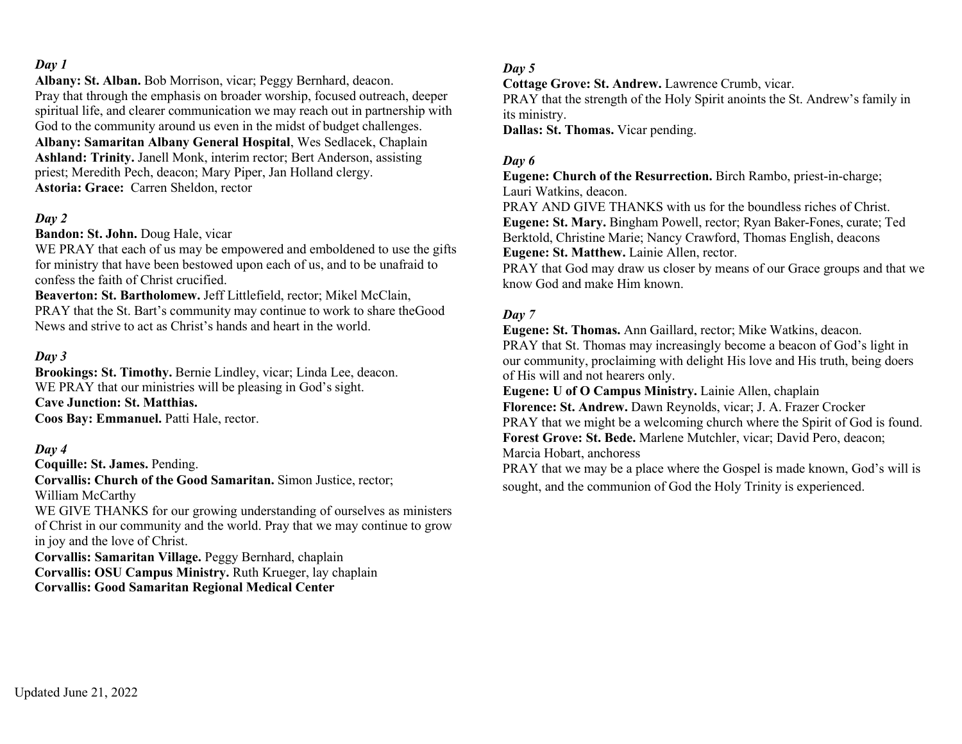**Albany: St. Alban.** Bob Morrison, vicar; Peggy Bernhard, deacon. Pray that through the emphasis on broader worship, focused outreach, deeper spiritual life, and clearer communication we may reach out in partnership with God to the community around us even in the midst of budget challenges. **Albany: Samaritan Albany General Hospital**, Wes Sedlacek, Chaplain **Ashland: Trinity.** Janell Monk, interim rector; Bert Anderson, assisting priest; Meredith Pech, deacon; Mary Piper, Jan Holland clergy. **Astoria: Grace:** Carren Sheldon, rector

## *Day 2*

**Bandon: St. John.** Doug Hale, vicar

WE PRAY that each of us may be empowered and emboldened to use the gifts for ministry that have been bestowed upon each of us, and to be unafraid to confess the faith of Christ crucified.

**Beaverton: St. Bartholomew.** Jeff Littlefield, rector; Mikel McClain, PRAY that the St. Bart's community may continue to work to share theGood News and strive to act as Christ's hands and heart in the world.

#### *Day 3*

**Brookings: St. Timothy.** Bernie Lindley, vicar; Linda Lee, deacon. WE PRAY that our ministries will be pleasing in God's sight. **Cave Junction: St. Matthias. Coos Bay: Emmanuel.** Patti Hale, rector.

#### *Day 4*

**Coquille: St. James.** Pending.

**Corvallis: Church of the Good Samaritan.** Simon Justice, rector; William McCarthy

WE GIVE THANKS for our growing understanding of ourselves as ministers of Christ in our community and the world. Pray that we may continue to grow in joy and the love of Christ.

**Corvallis: Samaritan Village.** Peggy Bernhard, chaplain **Corvallis: OSU Campus Ministry.** Ruth Krueger, lay chaplain **Corvallis: Good Samaritan Regional Medical Center**

#### *Day 5*

**Cottage Grove: St. Andrew.** Lawrence Crumb, vicar.

PRAY that the strength of the Holy Spirit anoints the St. Andrew's family in its ministry.

**Dallas: St. Thomas.** Vicar pending.

## *Day 6*

**Eugene: Church of the Resurrection.** Birch Rambo, priest-in-charge; Lauri Watkins, deacon.

PRAY AND GIVE THANKS with us for the boundless riches of Christ. **Eugene: St. Mary.** Bingham Powell, rector; Ryan Baker-Fones, curate; Ted Berktold, Christine Marie; Nancy Crawford, Thomas English, deacons **Eugene: St. Matthew.** Lainie Allen, rector.

PRAY that God may draw us closer by means of our Grace groups and that we know God and make Him known.

#### *Day 7*

**Eugene: St. Thomas.** Ann Gaillard, rector; Mike Watkins, deacon. PRAY that St. Thomas may increasingly become a beacon of God's light in our community, proclaiming with delight His love and His truth, being doers of His will and not hearers only.

**Eugene: U of O Campus Ministry.** Lainie Allen, chaplain

**Florence: St. Andrew.** Dawn Reynolds, vicar; J. A. Frazer Crocker PRAY that we might be a welcoming church where the Spirit of God is found. **Forest Grove: St. Bede.** Marlene Mutchler, vicar; David Pero, deacon; Marcia Hobart, anchoress

PRAY that we may be a place where the Gospel is made known, God's will is sought, and the communion of God the Holy Trinity is experienced.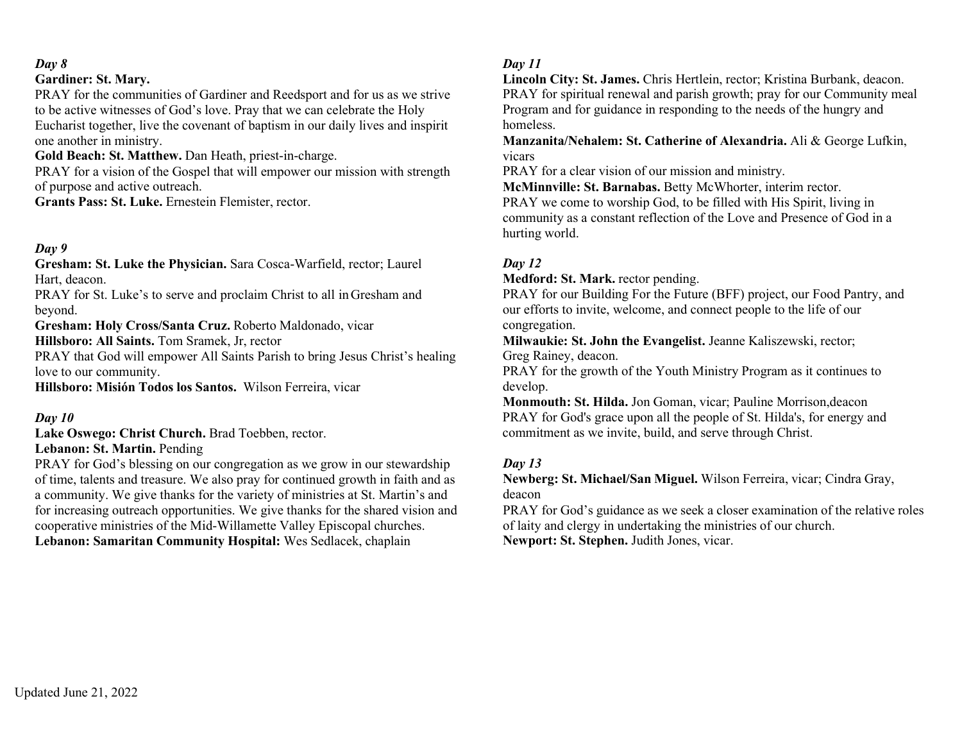## **Gardiner: St. Mary.**

PRAY for the communities of Gardiner and Reedsport and for us as we strive to be active witnesses of God's love. Pray that we can celebrate the Holy Eucharist together, live the covenant of baptism in our daily lives and inspirit one another in ministry.

**Gold Beach: St. Matthew.** Dan Heath, priest-in-charge.

PRAY for a vision of the Gospel that will empower our mission with strength of purpose and active outreach.

**Grants Pass: St. Luke.** Ernestein Flemister, rector.

## *Day 9*

**Gresham: St. Luke the Physician.** Sara Cosca-Warfield, rector; Laurel Hart, deacon.

PRAY for St. Luke's to serve and proclaim Christ to all in Gresham and beyond.

**Gresham: Holy Cross/Santa Cruz.** Roberto Maldonado, vicar

**Hillsboro: All Saints.** Tom Sramek, Jr, rector

PRAY that God will empower All Saints Parish to bring Jesus Christ's healing love to our community.

**Hillsboro: Misión Todos los Santos.** Wilson Ferreira, vicar

# *Day 10*

**Lake Oswego: Christ Church.** Brad Toebben, rector.

## **Lebanon: St. Martin.** Pending

PRAY for God's blessing on our congregation as we grow in our stewardship of time, talents and treasure. We also pray for continued growth in faith and as a community. We give thanks for the variety of ministries at St. Martin's and for increasing outreach opportunities. We give thanks for the shared vision and cooperative ministries of the Mid-Willamette Valley Episcopal churches. **Lebanon: Samaritan Community Hospital:** Wes Sedlacek, chaplain

# *Day 11*

**Lincoln City: St. James.** Chris Hertlein, rector; Kristina Burbank, deacon. PRAY for spiritual renewal and parish growth; pray for our Community meal Program and for guidance in responding to the needs of the hungry and homeless.

**Manzanita/Nehalem: St. Catherine of Alexandria.** Ali & George Lufkin, vicars

PRAY for a clear vision of our mission and ministry.

**McMinnville: St. Barnabas.** Betty McWhorter, interim rector. PRAY we come to worship God, to be filled with His Spirit, living in community as a constant reflection of the Love and Presence of God in a hurting world.

# *Day 12*

**Medford: St. Mark.** rector pending.

PRAY for our Building For the Future (BFF) project, our Food Pantry, and our efforts to invite, welcome, and connect people to the life of our congregation.

**Milwaukie: St. John the Evangelist.** Jeanne Kaliszewski, rector; Greg Rainey, deacon.

PRAY for the growth of the Youth Ministry Program as it continues to develop.

**Monmouth: St. Hilda.** Jon Goman, vicar; Pauline Morrison,deacon PRAY for God's grace upon all the people of St. Hilda's, for energy and commitment as we invite, build, and serve through Christ.

# *Day 13*

**Newberg: St. Michael/San Miguel.** Wilson Ferreira, vicar; Cindra Gray, deacon

PRAY for God's guidance as we seek a closer examination of the relative roles of laity and clergy in undertaking the ministries of our church. **Newport: St. Stephen.** Judith Jones, vicar.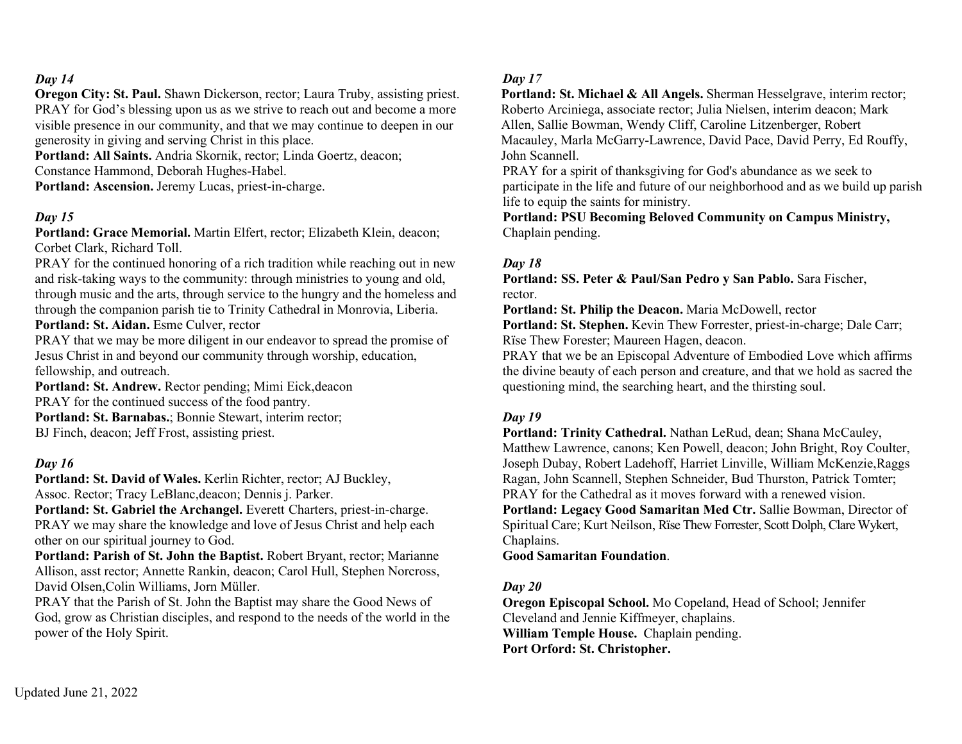**Oregon City: St. Paul.** Shawn Dickerson, rector; Laura Truby, assisting priest. PRAY for God's blessing upon us as we strive to reach out and become a more visible presence in our community, and that we may continue to deepen in our generosity in giving and serving Christ in this place.

**Portland: All Saints.** Andria Skornik, rector; Linda Goertz, deacon; Constance Hammond, Deborah Hughes-Habel.

**Portland: Ascension.** Jeremy Lucas, priest-in-charge.

#### *Day 15*

**Portland: Grace Memorial.** Martin Elfert, rector; Elizabeth Klein, deacon; Corbet Clark, Richard Toll.

PRAY for the continued honoring of a rich tradition while reaching out in new and risk-taking ways to the community: through ministries to young and old, through music and the arts, through service to the hungry and the homeless and through the companion parish tie to Trinity Cathedral in Monrovia, Liberia. **Portland: St. Aidan.** Esme Culver, rector

PRAY that we may be more diligent in our endeavor to spread the promise of Jesus Christ in and beyond our community through worship, education, fellowship, and outreach.

**Portland: St. Andrew.** Rector pending; Mimi Eick,deacon PRAY for the continued success of the food pantry. **Portland: St. Barnabas.**; Bonnie Stewart, interim rector; BJ Finch, deacon; Jeff Frost, assisting priest.

#### *Day 16*

**Portland: St. David of Wales.** Kerlin Richter, rector; AJ Buckley, Assoc. Rector; Tracy LeBlanc,deacon; Dennis j. Parker.

Portland: St. Gabriel the Archangel. Everett Charters, priest-in-charge. PRAY we may share the knowledge and love of Jesus Christ and help each other on our spiritual journey to God.

**Portland: Parish of St. John the Baptist.** Robert Bryant, rector; Marianne Allison, asst rector; Annette Rankin, deacon; Carol Hull, Stephen Norcross, David Olsen,Colin Williams, Jorn Müller.

PRAY that the Parish of St. John the Baptist may share the Good News of God, grow as Christian disciples, and respond to the needs of the world in the power of the Holy Spirit.

#### *Day 17*

**Portland: St. Michael & All Angels.** Sherman Hesselgrave, interim rector; Roberto Arciniega, associate rector; Julia Nielsen, interim deacon; Mark Allen, Sallie Bowman, Wendy Cliff, Caroline Litzenberger, Robert Macauley, Marla McGarry-Lawrence, David Pace, David Perry, Ed Rouffy, John Scannell.

PRAY for a spirit of thanksgiving for God's abundance as we seek to participate in the life and future of our neighborhood and as we build up parish life to equip the saints for ministry.

**Portland: PSU Becoming Beloved Community on Campus Ministry,** Chaplain pending.

#### *Day 18*

**Portland: SS. Peter & Paul/San Pedro y San Pablo.** Sara Fischer, rector.

**Portland: St. Philip the Deacon.** Maria McDowell, rector

**Portland: St. Stephen.** Kevin Thew Forrester, priest-in-charge; Dale Carr; Rïse Thew Forester; Maureen Hagen, deacon.

PRAY that we be an Episcopal Adventure of Embodied Love which affirms the divine beauty of each person and creature, and that we hold as sacred the questioning mind, the searching heart, and the thirsting soul.

## *Day 19*

**Portland: Trinity Cathedral.** Nathan LeRud, dean; Shana McCauley, Matthew Lawrence, canons; Ken Powell, deacon; John Bright, Roy Coulter, Joseph Dubay, Robert Ladehoff, Harriet Linville, William McKenzie,Raggs Ragan, John Scannell, Stephen Schneider, Bud Thurston, Patrick Tomter; PRAY for the Cathedral as it moves forward with a renewed vision. **Portland: Legacy Good Samaritan Med Ctr.** Sallie Bowman, Director of Spiritual Care; Kurt Neilson, Rïse Thew Forrester, Scott Dolph, Clare Wykert, Chaplains.

**Good Samaritan Foundation**.

## *Day 20*

**Oregon Episcopal School.** Mo Copeland, Head of School; Jennifer Cleveland and Jennie Kiffmeyer, chaplains. **William Temple House.** Chaplain pending. **Port Orford: St. Christopher.**